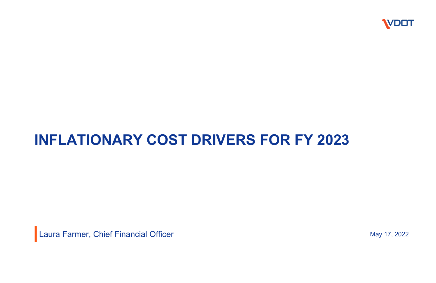## **INFLATIONARY COST DRIVERS FOR FY 2023**

Laura Farmer, Chief Financial Officer May 17, 2022



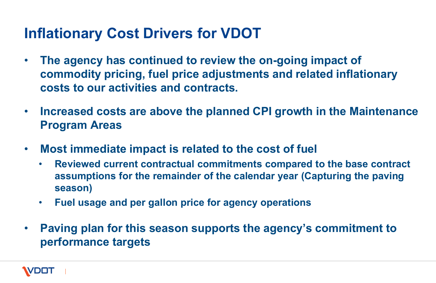- **The agency has continued to review the on-going impact of commodity pricing, fuel price adjustments and related inflationary costs to our activities and contracts.**
- **Increased costs are above the planned CPI growth in the Maintenance Program Areas**
- **Most immediate impact is related to the cost of fuel**
	- **Reviewed current contractual commitments compared to the base contract assumptions for the remainder of the calendar year (Capturing the paving season)**
	- **Fuel usage and per gallon price for agency operations**
- **Paving plan for this season supports the agency's commitment to performance targets**



### **Inflationary Cost Drivers for VDOT**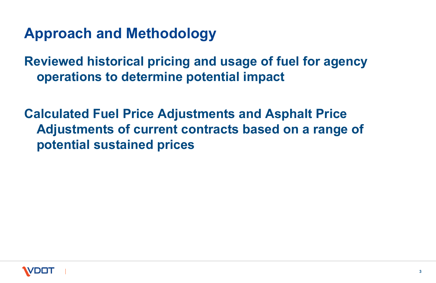**Reviewed historical pricing and usage of fuel for agency operations to determine potential impact**

**Calculated Fuel Price Adjustments and Asphalt Price Adjustments of current contracts based on a range of potential sustained prices**





### **Approach and Methodology**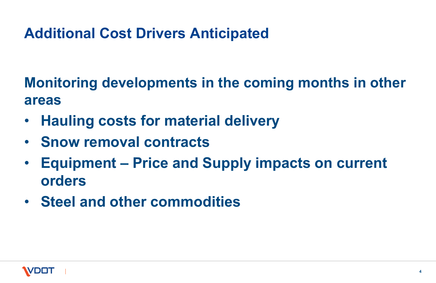**Monitoring developments in the coming months in other areas**

- **Hauling costs for material delivery**
- **Snow removal contracts**
- **Equipment – Price and Supply impacts on current orders**
- **Steel and other commodities**



## **Additional Cost Drivers Anticipated**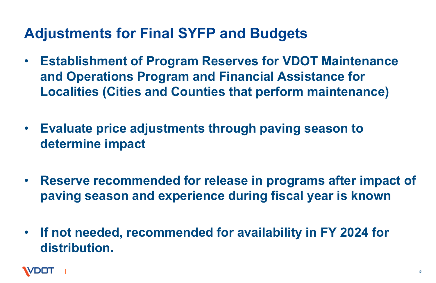- **Establishment of Program Reserves for VDOT Maintenance and Operations Program and Financial Assistance for Localities (Cities and Counties that perform maintenance)**
- **Evaluate price adjustments through paving season to determine impact**
- **Reserve recommended for release in programs after impact of paving season and experience during fiscal year is known**
- **If not needed, recommended for availability in FY 2024 for distribution.**



### **Adjustments for Final SYFP and Budgets**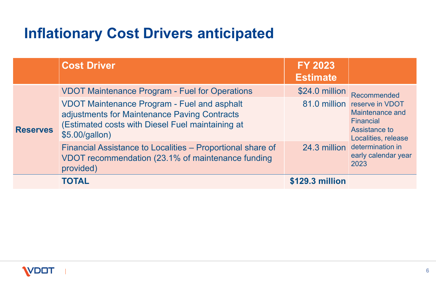|                 | <b>Cost Driver</b>                                                                                                                                                       | <b>FY 2023</b><br><b>Estimate</b> |                                                                                                                                                                        |
|-----------------|--------------------------------------------------------------------------------------------------------------------------------------------------------------------------|-----------------------------------|------------------------------------------------------------------------------------------------------------------------------------------------------------------------|
| <b>Reserves</b> | <b>VDOT Maintenance Program - Fuel for Operations</b>                                                                                                                    | \$24.0 million                    | Recommended<br>81.0 million reserve in VDO<br>Maintenance an<br>Financial<br><b>Assistance to</b><br>Localities, relea<br>determination in<br>early calendar y<br>2023 |
|                 | <b>VDOT Maintenance Program - Fuel and asphalt</b><br>adjustments for Maintenance Paving Contracts<br>(Estimated costs with Diesel Fuel maintaining at<br>\$5.00/gallon) |                                   |                                                                                                                                                                        |
|                 | Financial Assistance to Localities - Proportional share of<br>VDOT recommendation (23.1% of maintenance funding<br>provided)                                             | 24.3 million                      |                                                                                                                                                                        |
|                 | <b>TOTAL</b>                                                                                                                                                             | \$129.3 million                   |                                                                                                                                                                        |



| Y 2023<br>stimate |                                                                                                               |  |
|-------------------|---------------------------------------------------------------------------------------------------------------|--|
| 24.0 million      | Recommended<br>reserve in VDOT<br>Maintenance and<br>Financial<br><b>Assistance to</b><br>Localities, release |  |
| 81.0 million      |                                                                                                               |  |
| 24.3 million      | determination in<br>early calendar year<br>2023                                                               |  |
| $9.3$ mil         |                                                                                                               |  |

### **Inflationary Cost Drivers anticipated**